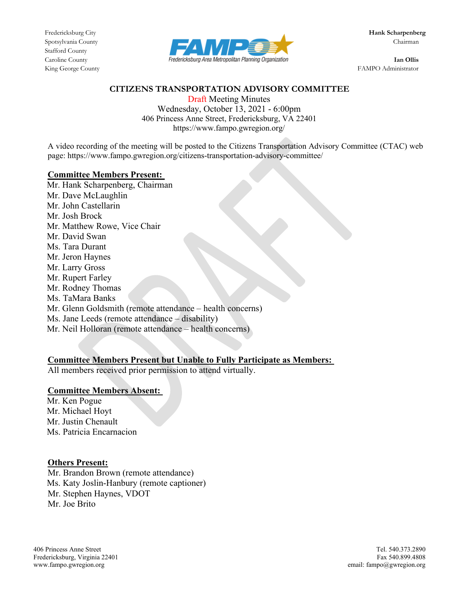Stafford County



King George County FAMPO Administrator

### **CITIZENS TRANSPORTATION ADVISORY COMMITTEE**

Draft Meeting Minutes Wednesday, October 13, 2021 - 6:00pm 406 Princess Anne Street, Fredericksburg, VA 22401 https://www.fampo.gwregion.org/

A video recording of the meeting will be posted to the Citizens Transportation Advisory Committee (CTAC) web page: https://www.fampo.gwregion.org/citizens-transportation-advisory-committee/

### **Committee Members Present:**

Mr. Hank Scharpenberg, Chairman Mr. Dave McLaughlin Mr. John Castellarin Mr. Josh Brock Mr. Matthew Rowe, Vice Chair Mr. David Swan Ms. Tara Durant Mr. Jeron Haynes Mr. Larry Gross Mr. Rupert Farley Mr. Rodney Thomas Ms. TaMara Banks Mr. Glenn Goldsmith (remote attendance – health concerns) Ms. Jane Leeds (remote attendance – disability) Mr. Neil Holloran (remote attendance – health concerns)

## **Committee Members Present but Unable to Fully Participate as Members:**

All members received prior permission to attend virtually.

## **Committee Members Absent:**

Mr. Ken Pogue Mr. Michael Hoyt Mr. Justin Chenault Ms. Patricia Encarnacion

## **Others Present:**

Mr. Brandon Brown (remote attendance) Ms. Katy Joslin-Hanbury (remote captioner) Mr. Stephen Haynes, VDOT Mr. Joe Brito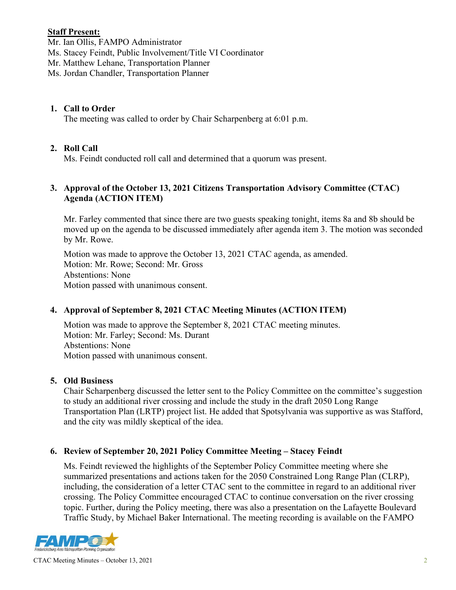## **Staff Present:**

Mr. Ian Ollis, FAMPO Administrator

Ms. Stacey Feindt, Public Involvement/Title VI Coordinator

Mr. Matthew Lehane, Transportation Planner

Ms. Jordan Chandler, Transportation Planner

## **1. Call to Order**

The meeting was called to order by Chair Scharpenberg at 6:01 p.m.

# **2. Roll Call**

Ms. Feindt conducted roll call and determined that a quorum was present.

## **3. Approval of the October 13, 2021 Citizens Transportation Advisory Committee (CTAC) Agenda (ACTION ITEM)**

Mr. Farley commented that since there are two guests speaking tonight, items 8a and 8b should be moved up on the agenda to be discussed immediately after agenda item 3. The motion was seconded by Mr. Rowe.

Motion was made to approve the October 13, 2021 CTAC agenda, as amended. Motion: Mr. Rowe; Second: Mr. Gross Abstentions: None Motion passed with unanimous consent.

# **4. Approval of September 8, 2021 CTAC Meeting Minutes (ACTION ITEM)**

Motion was made to approve the September 8, 2021 CTAC meeting minutes. Motion: Mr. Farley; Second: Ms. Durant Abstentions: None Motion passed with unanimous consent.

# **5. Old Business**

Chair Scharpenberg discussed the letter sent to the Policy Committee on the committee's suggestion to study an additional river crossing and include the study in the draft 2050 Long Range Transportation Plan (LRTP) project list. He added that Spotsylvania was supportive as was Stafford, and the city was mildly skeptical of the idea.

# **6. Review of September 20, 2021 Policy Committee Meeting – Stacey Feindt**

Ms. Feindt reviewed the highlights of the September Policy Committee meeting where she summarized presentations and actions taken for the 2050 Constrained Long Range Plan (CLRP), including, the consideration of a letter CTAC sent to the committee in regard to an additional river crossing. The Policy Committee encouraged CTAC to continue conversation on the river crossing topic. Further, during the Policy meeting, there was also a presentation on the Lafayette Boulevard Traffic Study, by Michael Baker International. The meeting recording is available on the FAMPO

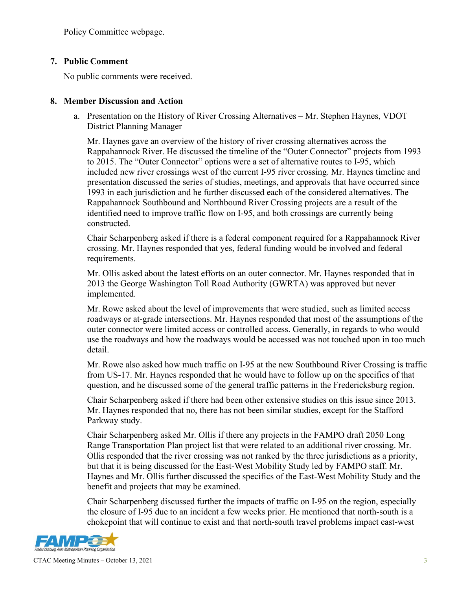Policy Committee webpage.

## **7. Public Comment**

No public comments were received.

## **8. Member Discussion and Action**

a. Presentation on the History of River Crossing Alternatives – Mr. Stephen Haynes, VDOT District Planning Manager

Mr. Haynes gave an overview of the history of river crossing alternatives across the Rappahannock River. He discussed the timeline of the "Outer Connector" projects from 1993 to 2015. The "Outer Connector" options were a set of alternative routes to I-95, which included new river crossings west of the current I-95 river crossing. Mr. Haynes timeline and presentation discussed the series of studies, meetings, and approvals that have occurred since 1993 in each jurisdiction and he further discussed each of the considered alternatives. The Rappahannock Southbound and Northbound River Crossing projects are a result of the identified need to improve traffic flow on I-95, and both crossings are currently being constructed.

Chair Scharpenberg asked if there is a federal component required for a Rappahannock River crossing. Mr. Haynes responded that yes, federal funding would be involved and federal requirements.

Mr. Ollis asked about the latest efforts on an outer connector. Mr. Haynes responded that in 2013 the George Washington Toll Road Authority (GWRTA) was approved but never implemented.

Mr. Rowe asked about the level of improvements that were studied, such as limited access roadways or at-grade intersections. Mr. Haynes responded that most of the assumptions of the outer connector were limited access or controlled access. Generally, in regards to who would use the roadways and how the roadways would be accessed was not touched upon in too much detail.

Mr. Rowe also asked how much traffic on I-95 at the new Southbound River Crossing is traffic from US-17. Mr. Haynes responded that he would have to follow up on the specifics of that question, and he discussed some of the general traffic patterns in the Fredericksburg region.

Chair Scharpenberg asked if there had been other extensive studies on this issue since 2013. Mr. Haynes responded that no, there has not been similar studies, except for the Stafford Parkway study.

Chair Scharpenberg asked Mr. Ollis if there any projects in the FAMPO draft 2050 Long Range Transportation Plan project list that were related to an additional river crossing. Mr. Ollis responded that the river crossing was not ranked by the three jurisdictions as a priority, but that it is being discussed for the East-West Mobility Study led by FAMPO staff. Mr. Haynes and Mr. Ollis further discussed the specifics of the East-West Mobility Study and the benefit and projects that may be examined.

Chair Scharpenberg discussed further the impacts of traffic on I-95 on the region, especially the closure of I-95 due to an incident a few weeks prior. He mentioned that north-south is a chokepoint that will continue to exist and that north-south travel problems impact east-west

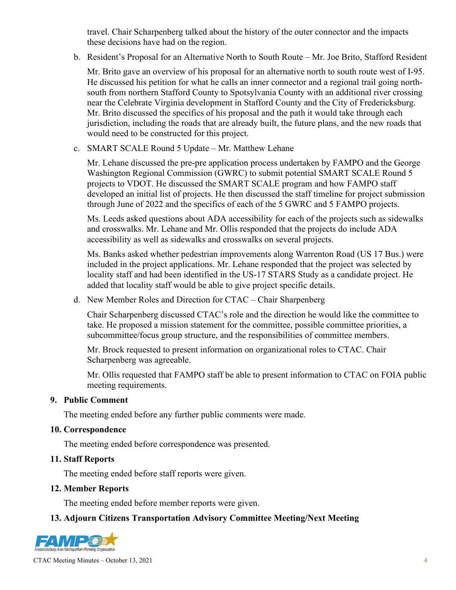travel. Chair Scharpenberg talked about the history of the outer connector and the impacts these decisions have had on the region.

b. Resident's Proposal for an Alternative North to South Route – Mr. Joe Brito, Stafford Resident

Mr. Brito gave an overview of his proposal for an alternative north to south route west of I-95. He discussed his petition for what he calls an inner connector and a regional trail going northsouth from northern Stafford County to Spotsylvania County with an additional river crossing near the Celebrate Virginia development in Stafford County and the City of Fredericksburg. Mr. Brito discussed the specifics of his proposal and the path it would take through each jurisdiction, including the roads that are already built, the future plans, and the new roads that would need to be constructed for this project.

c. SMART SCALE Round 5 Update – Mr. Matthew Lehane

Mr. Lehane discussed the pre-pre application process undertaken by FAMPO and the George Washington Regional Commission (GWRC) to submit potential SMART SCALE Round 5 projects to VDOT. He discussed the SMART SCALE program and how FAMPO staff developed an initial list of projects. He then discussed the staff timeline for project submission through June of 2022 and the specifics of each of the 5 GWRC and 5 FAMPO projects.

Ms. Leeds asked questions about ADA accessibility for each of the projects such as sidewalks and crosswalks. Mr. Lehane and Mr. Ollis responded that the projects do include ADA accessibility as well as sidewalks and crosswalks on several projects.

Ms. Banks asked whether pedestrian improvements along Warrenton Road (US 17 Bus.) were included in the project applications. Mr. Lehane responded that the project was selected by locality staff and had been identified in the US-17 STARS Study as a candidate project. He added that locality staff would be able to give project specific details.

d. New Member Roles and Direction for CTAC – Chair Sharpenberg

Chair Scharpenberg discussed CTAC's role and the direction he would like the committee to take. He proposed a mission statement for the committee, possible committee priorities, a subcommittee/focus group structure, and the responsibilities of committee members.

Mr. Brock requested to present information on organizational roles to CTAC. Chair Scharpenberg was agreeable.

Mr. Ollis requested that FAMPO staff be able to present information to CTAC on FOIA public meeting requirements.

#### **9. Public Comment**

The meeting ended before any further public comments were made.

#### **10. Correspondence**

The meeting ended before correspondence was presented.

#### **11. Staff Reports**

The meeting ended before staff reports were given.

#### **12. Member Reports**

The meeting ended before member reports were given.

#### **13. Adjourn Citizens Transportation Advisory Committee Meeting/Next Meeting**